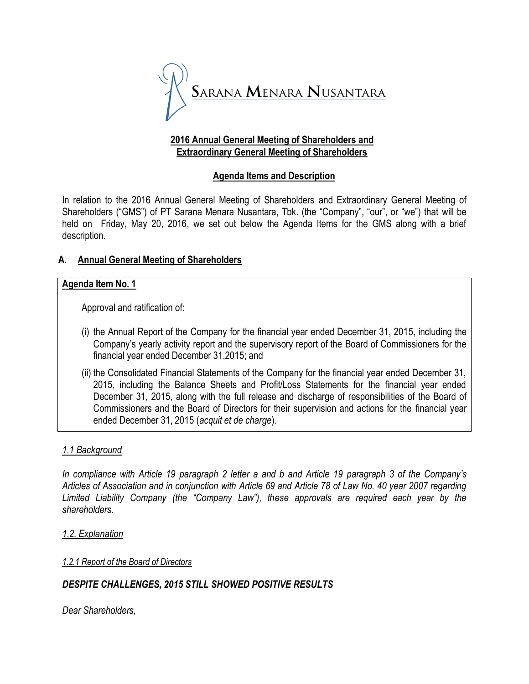

## **2016 Annual General Meeting of Shareholders and Extraordinary General Meeting of Shareholders**

# **Agenda Items and Description**

In relation to the 2016 Annual General Meeting of Shareholders and Extraordinary General Meeting of Shareholders ("GMS") of PT Sarana Menara Nusantara, Tbk. (the "Company", "our", or "we") that will be held on Friday, May 20, 2016, we set out below the Agenda Items for the GMS along with a brief description.

# **A. Annual General Meeting of Shareholders**

## **Agenda Item No. 1**

Approval and ratification of:

- (i) the Annual Report of the Company for the financial year ended December 31, 2015, including the Company's yearly activity report and the supervisory report of the Board of Commissioners for the financial year ended December 31,2015; and
- (ii) the Consolidated Financial Statements of the Company for the financial year ended December 31, 2015, including the Balance Sheets and Profit/Loss Statements for the financial year ended December 31, 2015, along with the full release and discharge of responsibilities of the Board of Commissioners and the Board of Directors for their supervision and actions for the financial year ended December 31, 2015 (*acquit et de charge*).

# *1.1 Background*

*In compliance with Article 19 paragraph 2 letter a and b and Article 19 paragraph 3 of the Company's Articles of Association and in conjunction with Article 69 and Article 78 of Law No. 40 year 2007 regarding Limited Liability Company (the "Company Law"), these approvals are required each year by the shareholders.*

#### *1.2. Explanation*

#### *1.2.1 Report of the Board of Directors*

# *DESPITE CHALLENGES, 2015 STILL SHOWED POSITIVE RESULTS*

*Dear Shareholders,*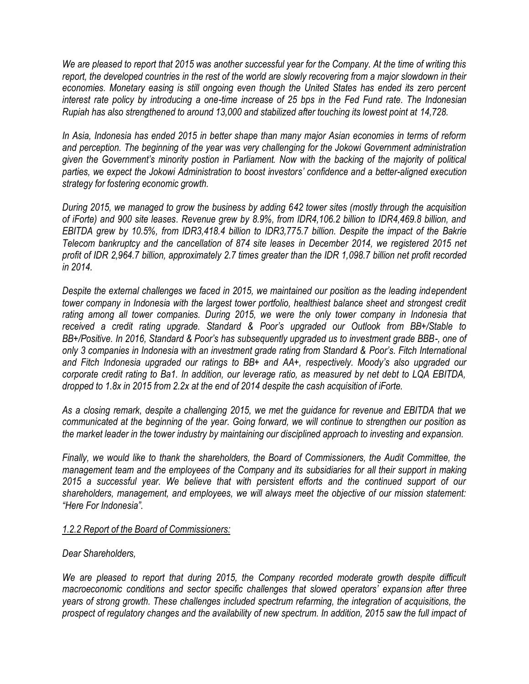*We are pleased to report that 2015 was another successful year for the Company. At the time of writing this report, the developed countries in the rest of the world are slowly recovering from a major slowdown in their economies. Monetary easing is still ongoing even though the United States has ended its zero percent interest rate policy by introducing a one-time increase of 25 bps in the Fed Fund rate. The Indonesian Rupiah has also strengthened to around 13,000 and stabilized after touching its lowest point at 14,728.*

*In Asia, Indonesia has ended 2015 in better shape than many major Asian economies in terms of reform and perception. The beginning of the year was very challenging for the Jokowi Government administration given the Government's minority postion in Parliament. Now with the backing of the majority of political parties, we expect the Jokowi Administration to boost investors' confidence and a better-aligned execution strategy for fostering economic growth.*

*During 2015, we managed to grow the business by adding 642 tower sites (mostly through the acquisition of iForte) and 900 site leases. Revenue grew by 8.9%, from IDR4,106.2 billion to IDR4,469.8 billion, and EBITDA grew by 10.5%, from IDR3,418.4 billion to IDR3,775.7 billion. Despite the impact of the Bakrie Telecom bankruptcy and the cancellation of 874 site leases in December 2014, we registered 2015 net profit of IDR 2,964.7 billion, approximately 2.7 times greater than the IDR 1,098.7 billion net profit recorded in 2014.*

*Despite the external challenges we faced in 2015, we maintained our position as the leading independent tower company in Indonesia with the largest tower portfolio, healthiest balance sheet and strongest credit rating among all tower companies. During 2015, we were the only tower company in Indonesia that received a credit rating upgrade. Standard & Poor's upgraded our Outlook from BB+/Stable to BB+/Positive. In 2016, Standard & Poor's has subsequently upgraded us to investment grade BBB-, one of only 3 companies in Indonesia with an investment grade rating from Standard & Poor's. Fitch International and Fitch Indonesia upgraded our ratings to BB+ and AA+, respectively. Moody's also upgraded our corporate credit rating to Ba1. In addition, our leverage ratio, as measured by net debt to LQA EBITDA, dropped to 1.8x in 2015 from 2.2x at the end of 2014 despite the cash acquisition of iForte.*

*As a closing remark, despite a challenging 2015, we met the guidance for revenue and EBITDA that we communicated at the beginning of the year. Going forward, we will continue to strengthen our position as the market leader in the tower industry by maintaining our disciplined approach to investing and expansion.*

*Finally, we would like to thank the shareholders, the Board of Commissioners, the Audit Committee, the management team and the employees of the Company and its subsidiaries for all their support in making 2015 a successful year. We believe that with persistent efforts and the continued support of our shareholders, management, and employees, we will always meet the objective of our mission statement: "Here For Indonesia".*

#### *1.2.2 Report of the Board of Commissioners:*

#### *Dear Shareholders,*

*We are pleased to report that during 2015, the Company recorded moderate growth despite difficult macroeconomic conditions and sector specific challenges that slowed operators' expansion after three years of strong growth. These challenges included spectrum refarming, the integration of acquisitions, the prospect of regulatory changes and the availability of new spectrum. In addition, 2015 saw the full impact of*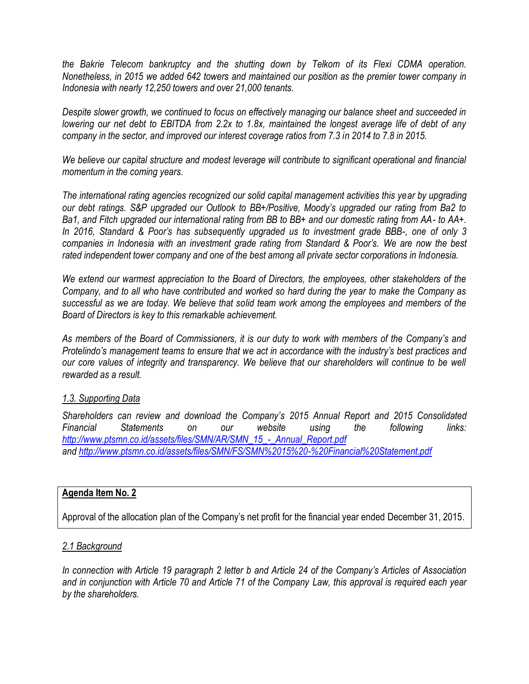*the Bakrie Telecom bankruptcy and the shutting down by Telkom of its Flexi CDMA operation. Nonetheless, in 2015 we added 642 towers and maintained our position as the premier tower company in Indonesia with nearly 12,250 towers and over 21,000 tenants.*

*Despite slower growth, we continued to focus on effectively managing our balance sheet and succeeded in lowering our net debt to EBITDA from 2.2x to 1.8x, maintained the longest average life of debt of any company in the sector, and improved our interest coverage ratios from 7.3 in 2014 to 7.8 in 2015.* 

*We believe our capital structure and modest leverage will contribute to significant operational and financial momentum in the coming years.*

*The international rating agencies recognized our solid capital management activities this year by upgrading our debt ratings. S&P upgraded our Outlook to BB+/Positive, Moody's upgraded our rating from Ba2 to Ba1, and Fitch upgraded our international rating from BB to BB+ and our domestic rating from AA- to AA+. In 2016, Standard & Poor's has subsequently upgraded us to investment grade BBB-, one of only 3 companies in Indonesia with an investment grade rating from Standard & Poor's. We are now the best rated independent tower company and one of the best among all private sector corporations in Indonesia.*

*We extend our warmest appreciation to the Board of Directors, the employees, other stakeholders of the Company, and to all who have contributed and worked so hard during the year to make the Company as successful as we are today. We believe that solid team work among the employees and members of the Board of Directors is key to this remarkable achievement.*

*As members of the Board of Commissioners, it is our duty to work with members of the Company's and Protelindo's management teams to ensure that we act in accordance with the industry's best practices and our core values of integrity and transparency. We believe that our shareholders will continue to be well rewarded as a result.*

# *1.3. Supporting Data*

*Shareholders can review and download the Company's 2015 Annual Report and 2015 Consolidated Financial Statements on our website using the following links: [http://www.ptsmn.co.id/assets/files/SMN/AR/SMN\\_15\\_-\\_Annual\\_Report.pdf](http://www.ptsmn.co.id/assets/files/SMN/AR/SMN_15_-_Annual_Report.pdf) and<http://www.ptsmn.co.id/assets/files/SMN/FS/SMN%2015%20-%20Financial%20Statement.pdf>*

### **Agenda Item No. 2**

Approval of the allocation plan of the Company's net profit for the financial year ended December 31, 2015.

#### *2.1 Background*

*In connection with Article 19 paragraph 2 letter b and Article 24 of the Company's Articles of Association and in conjunction with Article 70 and Article 71 of the Company Law, this approval is required each year by the shareholders.*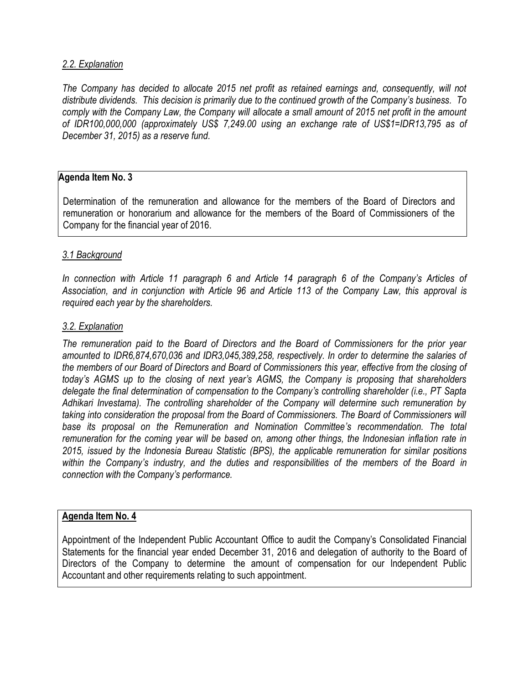## *2.2. Explanation*

*The Company has decided to allocate 2015 net profit as retained earnings and, consequently, will not distribute dividends. This decision is primarily due to the continued growth of the Company's business. To comply with the Company Law, the Company will allocate a small amount of 2015 net profit in the amount of IDR100,000,000 (approximately US\$ 7,249.00 using an exchange rate of US\$1=IDR13,795 as of December 31, 2015) as a reserve fund.*

## **Agenda Item No. 3**

Determination of the remuneration and allowance for the members of the Board of Directors and remuneration or honorarium and allowance for the members of the Board of Commissioners of the Company for the financial year of 2016.

#### *3.1 Background*

*In connection with Article 11 paragraph 6 and Article 14 paragraph 6 of the Company's Articles of Association, and in conjunction with Article 96 and Article 113 of the Company Law, this approval is required each year by the shareholders.*

#### *3.2. Explanation*

*The remuneration paid to the Board of Directors and the Board of Commissioners for the prior year amounted to IDR6,874,670,036 and IDR3,045,389,258, respectively. In order to determine the salaries of the members of our Board of Directors and Board of Commissioners this year, effective from the closing of today's AGMS up to the closing of next year's AGMS, the Company is proposing that shareholders delegate the final determination of compensation to the Company's controlling shareholder (i.e., PT Sapta Adhikari Investama). The controlling shareholder of the Company will determine such remuneration by taking into consideration the proposal from the Board of Commissioners. The Board of Commissioners will base its proposal on the Remuneration and Nomination Committee's recommendation. The total remuneration for the coming year will be based on, among other things, the Indonesian inflation rate in 2015, issued by the Indonesia Bureau Statistic (BPS), the applicable remuneration for similar positions within the Company's industry, and the duties and responsibilities of the members of the Board in connection with the Company's performance.* 

#### **Agenda Item No. 4**

Appointment of the Independent Public Accountant Office to audit the Company's Consolidated Financial Statements for the financial year ended December 31, 2016 and delegation of authority to the Board of Directors of the Company to determine the amount of compensation for our Independent Public Accountant and other requirements relating to such appointment.